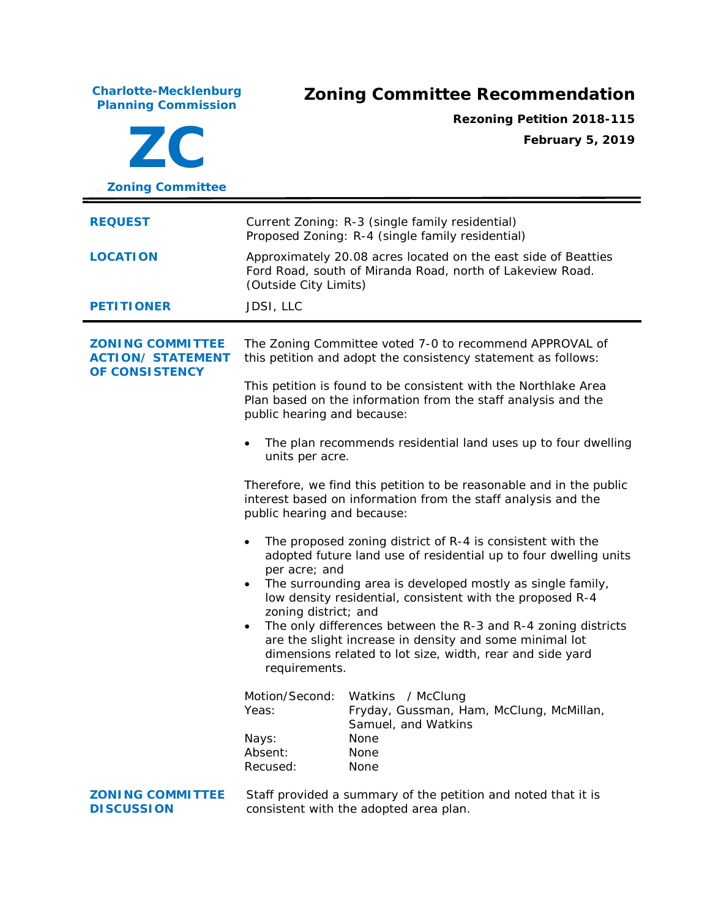**Charlotte-Mecklenburg**

## **Planning Commission Zoning Committee Recommendation**

**ZC Zoning Committee Rezoning Petition 2018-115 February 5, 2019 REQUEST** Current Zoning: R-3 (single family residential) Proposed Zoning: R-4 (single family residential) **LOCATION** Approximately 20.08 acres located on the east side of Beatties Ford Road, south of Miranda Road, north of Lakeview Road. (Outside City Limits) **PETITIONER** JDSI, LLC **ZONING COMMITTEE ACTION/ STATEMENT OF CONSISTENCY** The Zoning Committee voted 7-0 to recommend APPROVAL of this petition and adopt the consistency statement as follows: This petition is found to be consistent with the *Northlake Area Plan* based on the information from the staff analysis and the public hearing and because: The plan recommends residential land uses up to four dwelling units per acre. Therefore, we find this petition to be reasonable and in the public interest based on information from the staff analysis and the public hearing and because: The proposed zoning district of R-4 is consistent with the adopted future land use of residential up to four dwelling units per acre; and • The surrounding area is developed mostly as single family, low density residential, consistent with the proposed R-4 zoning district; and The only differences between the R-3 and R-4 zoning districts are the slight increase in density and some minimal lot dimensions related to lot size, width, rear and side yard requirements. Motion/Second: Watkins / McClung Yeas: Fryday, Gussman, Ham, McClung, McMillan, Samuel, and Watkins Nays: None Absent: None Recused: None **ZONING COMMITTEE DISCUSSION** Staff provided a summary of the petition and noted that it is consistent with the adopted area plan.